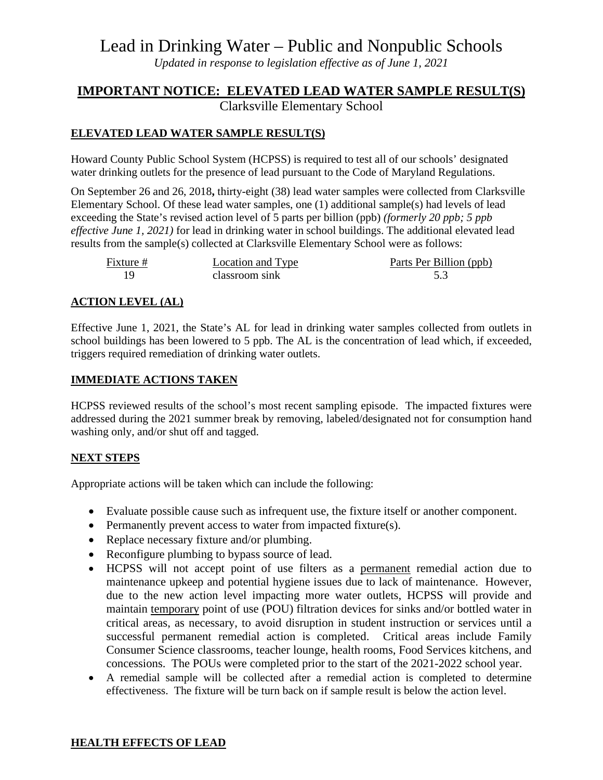# Lead in Drinking Water – Public and Nonpublic Schools

*Updated in response to legislation effective as of June 1, 2021*

# **IMPORTANT NOTICE: ELEVATED LEAD WATER SAMPLE RESULT(S)**

Clarksville Elementary School

# **ELEVATED LEAD WATER SAMPLE RESULT(S)**

Howard County Public School System (HCPSS) is required to test all of our schools' designated water drinking outlets for the presence of lead pursuant to the Code of Maryland Regulations.

On September 26 and 26, 2018**,** thirty-eight (38) lead water samples were collected from Clarksville Elementary School. Of these lead water samples, one (1) additional sample(s) had levels of lead exceeding the State's revised action level of 5 parts per billion (ppb) *(formerly 20 ppb; 5 ppb effective June 1, 2021)* for lead in drinking water in school buildings. The additional elevated lead results from the sample(s) collected at Clarksville Elementary School were as follows:

| Fixture # | Location and Type | Parts Per Billion (ppb) |
|-----------|-------------------|-------------------------|
|           | classroom sink    |                         |

## **ACTION LEVEL (AL)**

Effective June 1, 2021, the State's AL for lead in drinking water samples collected from outlets in school buildings has been lowered to 5 ppb. The AL is the concentration of lead which, if exceeded, triggers required remediation of drinking water outlets.

### **IMMEDIATE ACTIONS TAKEN**

HCPSS reviewed results of the school's most recent sampling episode. The impacted fixtures were addressed during the 2021 summer break by removing, labeled/designated not for consumption hand washing only, and/or shut off and tagged.

### **NEXT STEPS**

Appropriate actions will be taken which can include the following:

- Evaluate possible cause such as infrequent use, the fixture itself or another component.
- Permanently prevent access to water from impacted fixture(s).
- Replace necessary fixture and/or plumbing.
- Reconfigure plumbing to bypass source of lead.
- HCPSS will not accept point of use filters as a permanent remedial action due to maintenance upkeep and potential hygiene issues due to lack of maintenance. However, due to the new action level impacting more water outlets, HCPSS will provide and maintain temporary point of use (POU) filtration devices for sinks and/or bottled water in critical areas, as necessary, to avoid disruption in student instruction or services until a successful permanent remedial action is completed. Critical areas include Family Consumer Science classrooms, teacher lounge, health rooms, Food Services kitchens, and concessions. The POUs were completed prior to the start of the 2021-2022 school year.
- A remedial sample will be collected after a remedial action is completed to determine effectiveness. The fixture will be turn back on if sample result is below the action level.

### **HEALTH EFFECTS OF LEAD**